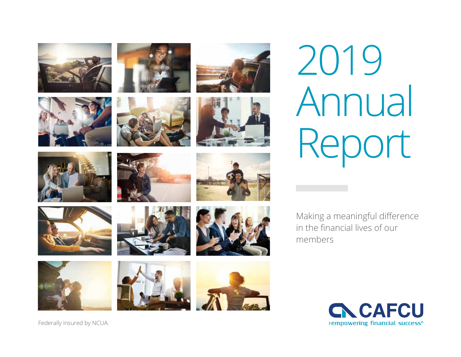

























Annual Report 2019

Making a meaningful difference in the financial lives of our members



Federally insured by NCUA.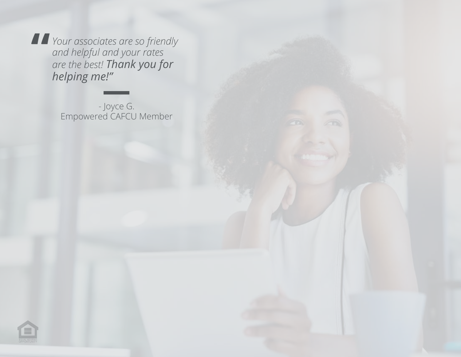**The** *Your associates are so friendly*<br>and helpful and your rates<br>are the best! **Thank you for** *and helpful and your rates are the best! Thank you for helping me!"*

> - Joyce G. Empowered CAFCU Member

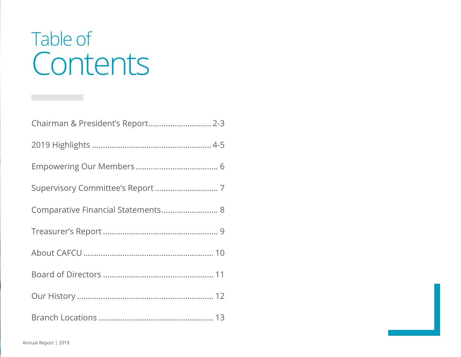## Table of Contents

| Chairman & President's Report 2-3  |
|------------------------------------|
|                                    |
|                                    |
|                                    |
| Comparative Financial Statements 8 |
|                                    |
|                                    |
|                                    |
|                                    |
|                                    |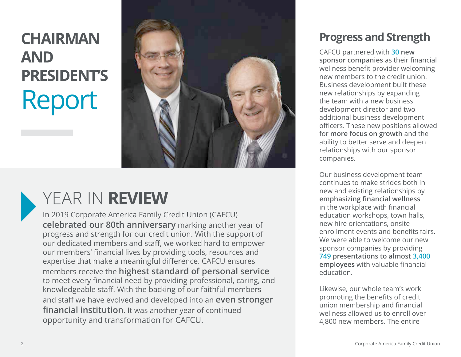### **CHAIRMAN AND PRESIDENT'S** Report





### YEAR IN **REVIEW**

In 2019 Corporate America Family Credit Union (CAFCU) **celebrated our 80th anniversary** marking another year of progress and strength for our credit union. With the support of our dedicated members and staff, we worked hard to empower our members' financial lives by providing tools, resources and expertise that make a meaningful difference. CAFCU ensures members receive the **highest standard of personal service** to meet every financial need by providing professional, caring, and knowledgeable staff. With the backing of our faithful members and staff we have evolved and developed into an **even stronger financial institution**. It was another year of continued opportunity and transformation for CAFCU.

#### **Progress and Strength**

CAFCU partnered with **30 new sponsor companies** as their financial wellness benefit provider welcoming new members to the credit union. Business development built these new relationships by expanding the team with a new business development director and two additional business development officers. These new positions allowed for **more focus on growth** and the ability to better serve and deepen relationships with our sponsor companies.

Our business development team continues to make strides both in new and existing relationships by **emphasizing financial wellness** in the workplace with financial education workshops, town halls, new hire orientations, onsite enrollment events and benefits fairs. We were able to welcome our new sponsor companies by providing **749 presentations to almost 3,400 employees** with valuable financial education.

Likewise, our whole team's work promoting the benefits of credit union membership and financial wellness allowed us to enroll over 4,800 new members. The entire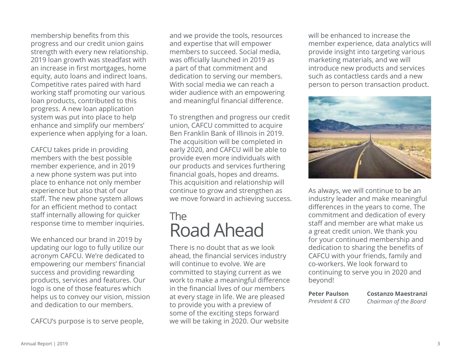membership benefits from this progress and our credit union gains strength with every new relationship. 2019 loan growth was steadfast with an increase in first mortgages, home equity, auto loans and indirect loans. Competitive rates paired with hard working staff promoting our various loan products, contributed to this progress. A new loan application system was put into place to help enhance and simplify our members' experience when applying for a loan.

CAFCU takes pride in providing members with the best possible member experience, and in 2019 a new phone system was put into place to enhance not only member experience but also that of our staff. The new phone system allows for an efficient method to contact staff internally allowing for quicker response time to member inquiries.

We enhanced our brand in 2019 by updating our logo to fully utilize our acronym CAFCU. We're dedicated to empowering our members' financial success and providing rewarding products, services and features. Our logo is one of those features which helps us to convey our vision, mission and dedication to our members.

CAFCU's purpose is to serve people,

and we provide the tools, resources and expertise that will empower members to succeed. Social media, was officially launched in 2019 as a part of that commitment and dedication to serving our members. With social media we can reach a wider audience with an empowering and meaningful financial difference.

To strengthen and progress our credit union, CAFCU committed to acquire Ben Franklin Bank of Illinois in 2019. The acquisition will be completed in early 2020, and CAFCU will be able to provide even more individuals with our products and services furthering financial goals, hopes and dreams. This acquisition and relationship will continue to grow and strengthen as we move forward in achieving success.

### The Road Ahead

There is no doubt that as we look ahead, the financial services industry will continue to evolve. We are committed to staying current as we work to make a meaningful difference in the financial lives of our members at every stage in life. We are pleased to provide you with a preview of some of the exciting steps forward we will be taking in 2020. Our website

will be enhanced to increase the member experience, data analytics will provide insight into targeting various marketing materials, and we will introduce new products and services such as contactless cards and a new person to person transaction product.



As always, we will continue to be an industry leader and make meaningful differences in the years to come. The commitment and dedication of every staff and member are what make us a great credit union. We thank you for your continued membership and dedication to sharing the benefits of CAFCU with your friends, family and co-workers. We look forward to continuing to serve you in 2020 and beyond!

**Peter Paulson** *President & CEO* **Costanzo Maestranzi** *Chairman of the Board*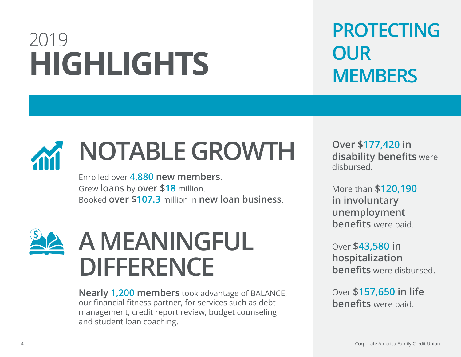## 2019 **HIGHLIGHTS**

### **PROTECTING OUR MEMBERS**



# **NOTABLE GROWTH**

Enrolled over **4,880 new members**. Grew **loans** by **over \$18** million. Booked **over \$107.3** million in **new loan business**.



**Nearly 1,200 members** took advantage of BALANCE, our financial fitness partner, for services such as debt management, credit report review, budget counseling and student loan coaching.

**Over \$177,420 in disability benefits** were disbursed.

More than **\$120,190 in involuntary unemployment benefits** were paid.

Over **\$43,580 in hospitalization benefits** were disbursed.

Over **\$157,650 in life benefits** were paid.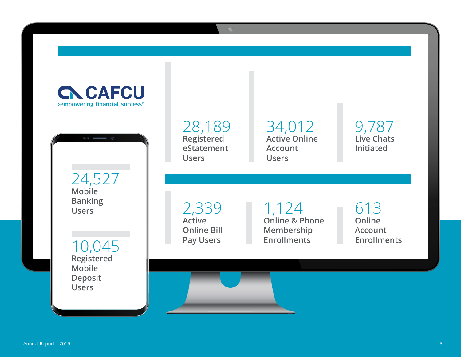

 $\left( \frac{1}{2} \right)$ 

24,527 **Mobile Banking Users**

 $\circ$   $\circ$ 

10,045 **Registered Mobile Deposit Users**

28,189 **Registered eStatement Users**

 $\odot$ 

2,339

**Online Bill Pay Users**

**Active** 

34,012 **Active Online Account Users**

9,787 **Live Chats Initiated**

1,124 **Online & Phone Membership Enrollments**

613 **Online Account Enrollments**

Annual Report | 2019 5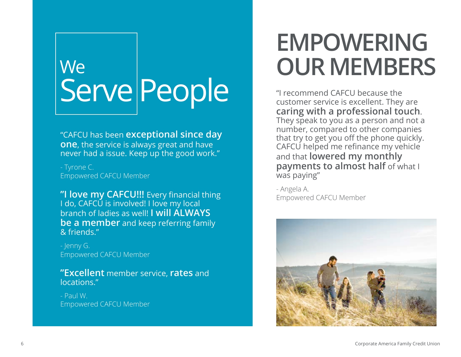## We Serve People

"CAFCU has been **exceptional since day one**, the service is always great and have never had a issue. Keep up the good work."

- Tyrone C. Empowered CAFCU Member

**"I love my CAFCU!!!** Every financial thing I do, CAFCU is involved! I love my local branch of ladies as well! **I will ALWAYS be a member** and keep referring family & friends."

- Jenny G. Empowered CAFCU Member

**"Excellent** member service, **rates** and locations."

- Paul W. Empowered CAFCU Member

## **EMPOWERING OUR MEMBERS**

"I recommend CAFCU because the customer service is excellent. They are **caring with a professional touch**. They speak to you as a person and not a number, compared to other companies that try to get you off the phone quickly. CAFCU helped me refinance my vehicle and that **lowered my monthly payments to almost half** of what I was paying"

- Angela A. Empowered CAFCU Member

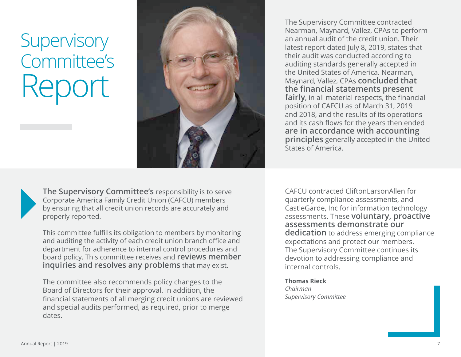## **Supervisory** Committee's Report



The Supervisory Committee contracted Nearman, Maynard, Vallez, CPAs to perform an annual audit of the credit union. Their latest report dated July 8, 2019, states that their audit was conducted according to auditing standards generally accepted in the United States of America. Nearman, Maynard, Vallez, CPAs **concluded that the financial statements present fairly**, in all material respects, the financial position of CAFCU as of March 31, 2019 and 2018, and the results of its operations and its cash flows for the years then ended **are in accordance with accounting principles** generally accepted in the United States of America.

**The Supervisory Committee's** responsibility is to serve Corporate America Family Credit Union (CAFCU) members by ensuring that all credit union records are accurately and properly reported.

This committee fulfills its obligation to members by monitoring and auditing the activity of each credit union branch office and department for adherence to internal control procedures and board policy. This committee receives and **reviews member inquiries and resolves any problems** that may exist.

The committee also recommends policy changes to the Board of Directors for their approval. In addition, the financial statements of all merging credit unions are reviewed and special audits performed, as required, prior to merge dates.

CAFCU contracted CliftonLarsonAllen for quarterly compliance assessments, and CastleGarde, Inc for information technology assessments. These **voluntary, proactive assessments demonstrate our dedication** to address emerging compliance expectations and protect our members. The Supervisory Committee continues its devotion to addressing compliance and internal controls.

**Thomas Rieck** *Chairman Supervisory Committee*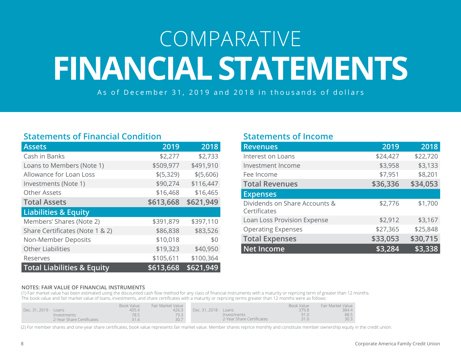# **FINANCIAL STATEMENTS** COMPARATIVE

As of December 31, 2019 and 2018 in thousands of dollars

#### **Statements of Financial Condition**

| <b>Assets</b>                         | 2019       | 2018       |
|---------------------------------------|------------|------------|
| Cash in Banks                         | \$2,277    | \$2,733    |
| Loans to Members (Note 1)             | \$509,977  | \$491,910  |
| Allowance for Loan Loss               | \$ (5,329) | \$ (5,606) |
| Investments (Note 1)                  | \$90,274   | \$116,447  |
| <b>Other Assets</b>                   | \$16,468   | \$16,465   |
| <b>Total Assets</b>                   | \$613,668  | \$621,949  |
| <b>Liabilities &amp; Equity</b>       |            |            |
| Members' Shares (Note 2)              | \$391,879  | \$397,110  |
| Share Certificates (Note 1 & 2)       | \$86,838   | \$83,526   |
| Non-Member Deposits                   | \$10,018   | \$0        |
| <b>Other Liabilities</b>              | \$19,323   | \$40,950   |
| Reserves                              | \$105,611  | \$100,364  |
| <b>Total Liabilities &amp; Equity</b> | \$613,668  | \$621,949  |

#### **Statements of Income**

| <b>Revenues</b>                               | 2019     | 2018     |
|-----------------------------------------------|----------|----------|
| Interest on Loans                             | \$24,427 | \$22,720 |
| Investment Income                             | \$3,958  | \$3,133  |
| Fee Income                                    | \$7,951  | \$8,201  |
| <b>Total Revenues</b>                         | \$36,336 | \$34,053 |
| <b>Expenses</b>                               |          |          |
| Dividends on Share Accounts &<br>Certificates | \$2,776  | \$1,700  |
| Loan Loss Provision Expense                   | \$2,912  | \$3,167  |
| <b>Operating Expenses</b>                     | \$27,365 | \$25,848 |
| <b>Total Expenses</b>                         | \$33,053 | \$30,715 |
| <b>Net Income</b>                             | \$3,284  | \$3,338  |

#### **NOTES: FAIR VALUE OF FINANCIAL INSTRUMENTS**

(1) Fair market value has been estimated using the discounted cash flow method for any class of financial instruments with a maturity or repricing term of greater than 12 months. The book value and fair market value of loans, investments, and share certificates with a maturity or repricing terms greater than 12 months were as follows:

| Dec. 31, 2019 - Loans     | Book Value<br>405.4 | Fair Market Value<br>426.3 | Dec. 31, 2018 - Loans     | Book Value<br>379.8 | Fair Market Value<br>384.4 |
|---------------------------|---------------------|----------------------------|---------------------------|---------------------|----------------------------|
| Investments               | 78.5                | 79.3                       | Investments               | 91.0                | 88.5                       |
| 2-Year Share Certificates |                     | 30.7                       | 2-Year Share Certificates | 31.0                | 30.3                       |

(2) For member shares and one-year share certificates, book value represents fair market value. Member shares reprice monthly and constitute member ownership equity in the credit union.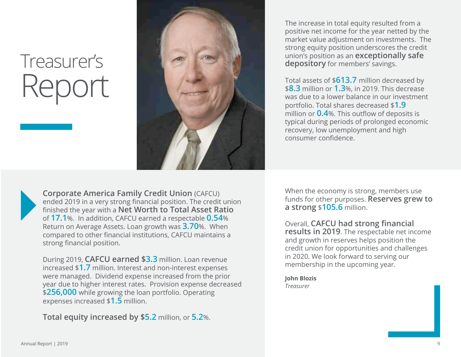## Treasurer's Report



The increase in total equity resulted from a positive net income for the year netted by the market value adjustment on investments. The strong equity position underscores the credit union's position as an **exceptionally safe depository** for members' savings.

Total assets of \$**613.7** million decreased by \$**8.3** million or **1.3**%, in 2019. This decrease was due to a lower balance in our investment portfolio. Total shares decreased \$**1.9** million or **0.4**%. This outflow of deposits is typical during periods of prolonged economic recovery, low unemployment and high consumer confidence.

**Corporate America Family Credit Union** (CAFCU) ended 2019 in a very strong financial position. The credit union finished the year with a **Net Worth to Total Asset Ratio** of **17.1**%. In addition, CAFCU earned a respectable **0.54**% Return on Average Assets. Loan growth was **3.70**%. When compared to other financial institutions, CAFCU maintains a strong financial position.

During 2019, **CAFCU earned \$3.3** million. Loan revenue increased \$**1.7** million. Interest and non-interest expenses were managed. Dividend expense increased from the prior year due to higher interest rates. Provision expense decreased \$**256,000** while growing the loan portfolio. Operating expenses increased \$**1.5** million.

**Total equity increased by \$5.2** million, or **5.2**%.

When the economy is strong, members use funds for other purposes. **Reserves grew to a strong** \$**105.6** million.

Overall, **CAFCU had strong financial results in 2019**. The respectable net income and growth in reserves helps position the credit union for opportunities and challenges in 2020. We look forward to serving our membership in the upcoming year.

**John Blozis** *Treasurer*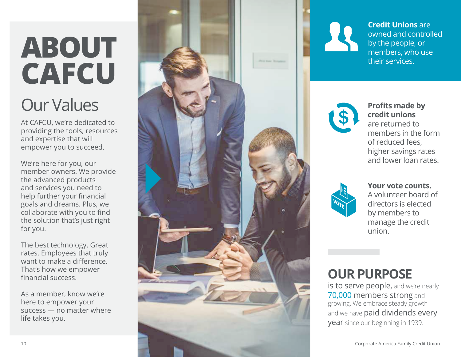# **ABOUT CAFCU**

### Our Values

At CAFCU, we're dedicated to providing the tools, resources and expertise that will empower you to succeed.

We're here for you, our member-owners. We provide the advanced products and services you need to help further your financial goals and dreams. Plus, we collaborate with you to find the solution that's just right for you.

The best technology. Great rates. Employees that truly want to make a difference. That's how we empower financial success.

As a member, know we're here to empower your success — no matter where life takes you.



**Credit Unions** are owned and controlled by the people, or members, who use their services.



**Profits made by credit unions**

are returned to members in the form of reduced fees, higher savings rates and lower loan rates.



**Your vote counts.**

A volunteer board of directors is elected by members to manage the credit union.

### **OUR PURPOSE**

is to serve people, and we're nearly 70,000 members strong and growing. We embrace steady growth and we have paid dividends every year since our beginning in 1939.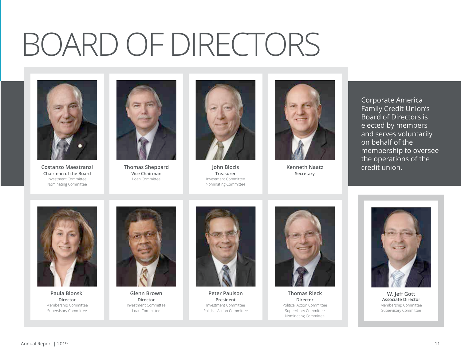# BOARD OF DIRECTORS



Costanzo Maestranzi **cha Thomas Sheppard and School** John Blozis **cha Charles Kenneth Naatz and Credit union. Chairman of the Board** Investment Committee Nominating Committee



**Thomas Sheppard Vice Chairman** Loan Committee



**John Blozis Treasurer** Investment Committee Nominating Committee



**Kenneth Naatz Secretary**

Corporate America Family Credit Union's Board of Directors is elected by members and serves voluntarily on behalf of the membership to oversee the operations of the



**Paula Blonski Director** Membership Committee Supervisory Committee



**Glenn Brown Director** Investment Committee Loan Committee



**Peter Paulson President** Investment Committee Political Action Committee



**Thomas Rieck Director** Political Action Committee Supervisory Committee Nominating Committee



**W. Jeff Gott Associate Director** Membership Committee Supervisory Committee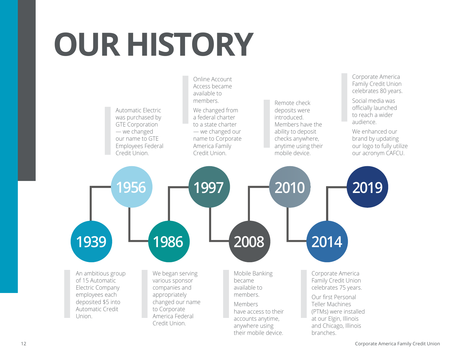# **OUR HISTORY**

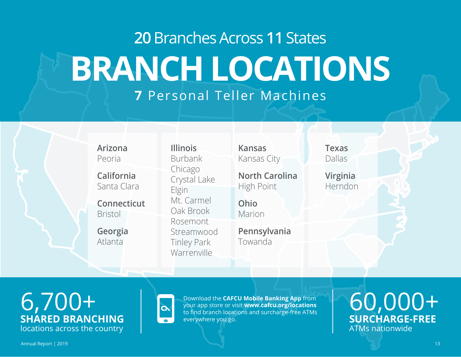## **BRANCH LOCATIONS 20** Branches Across **11** States **7** Personal Teller Machines

#### **Arizona** Peoria

**California** Santa Clara

**Connecticut** Bristol

**Georgia** Atlanta

**Illinois** Burbank Chicago Crystal Lake Elgin Mt. Carmel Oak Brook Rosemont Streamwood Tinley Park Warrenville

#### **Kansas**  Kansas City

**North Carolina** High Point

**Ohio** Marion

**Pennsylvania** Towanda

#### **Texas** Dallas

**Virginia** Herndon

locations across the country 6,700+ **SHARED BRANCHING**



Download the **CAFCU Mobile Banking App** from your app store or visit **www.cafcu.org/locations**  to find branch locations and surcharge-free ATMs everywhere you go.

### 60,000+ **SURCHARGE-FREE** ATMs nationwide

Annual Report | 2019 13